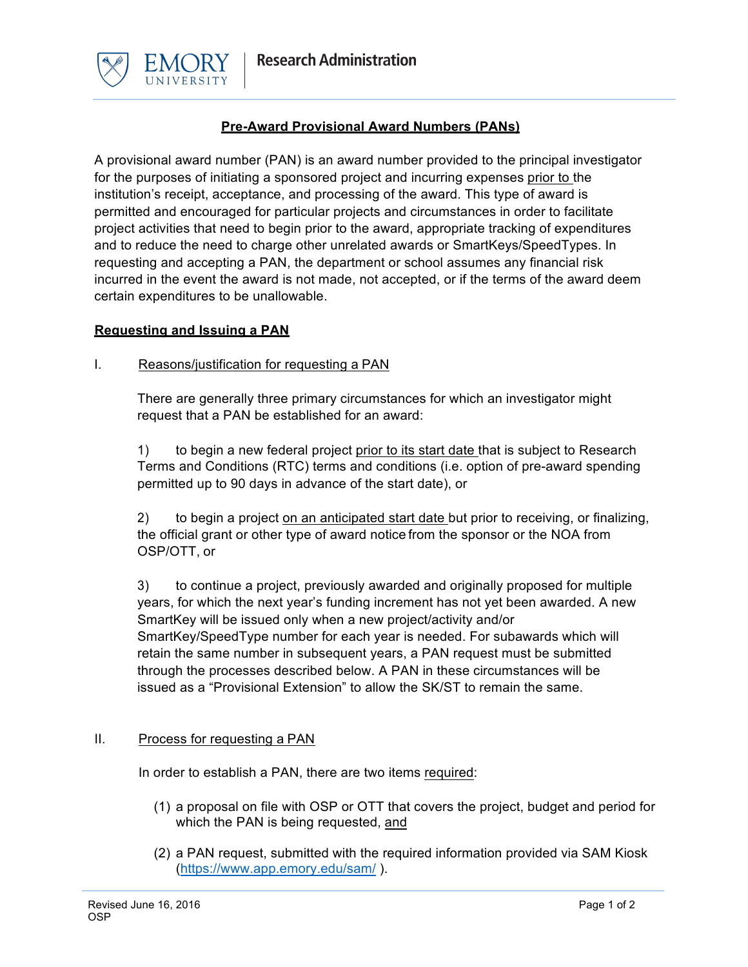



# **Pre-Award Provisional Award Numbers (PANs)**

A provisional award number (PAN) is an award number provided to the principal investigator for the purposes of initiating a sponsored project and incurring expenses prior to the institution's receipt, acceptance, and processing of the award. This type of award is permitted and encouraged for particular projects and circumstances in order to facilitate project activities that need to begin prior to the award, appropriate tracking of expenditures and to reduce the need to charge other unrelated awards or SmartKeys/SpeedTypes. In requesting and accepting a PAN, the department or school assumes any financial risk incurred in the event the award is not made, not accepted, or if the terms of the award deem certain expenditures to be unallowable.

# **Requesting and Issuing a PAN**

### I. Reasons/justification for requesting a PAN

There are generally three primary circumstances for which an investigator might request that a PAN be established for an award:

1) to begin a new federal project prior to its start date that is subject to Research Terms and Conditions (RTC) terms and conditions (i.e. option of pre-award spending permitted up to 90 days in advance of the start date), or

2) to begin a project on an anticipated start date but prior to receiving, or finalizing, the official grant or other type of award notice from the sponsor or the NOA from OSP/OTT, or

3) to continue a project, previously awarded and originally proposed for multiple years, for which the next year's funding increment has not yet been awarded. A new SmartKey will be issued only when a new project/activity and/or SmartKey/SpeedType number for each year is needed. For subawards which will retain the same number in subsequent years, a PAN request must be submitted through the processes described below. A PAN in these circumstances will be issued as a "Provisional Extension" to allow the SK/ST to remain the same.

# II. Process for requesting a PAN

In order to establish a PAN, there are two items required:

- (1) a proposal on file with OSP or OTT that covers the project, budget and period for which the PAN is being requested, and
- (2) a PAN request, submitted with the required information provided via SAM Kiosk (https://www.app.emory.edu/sam/ ).